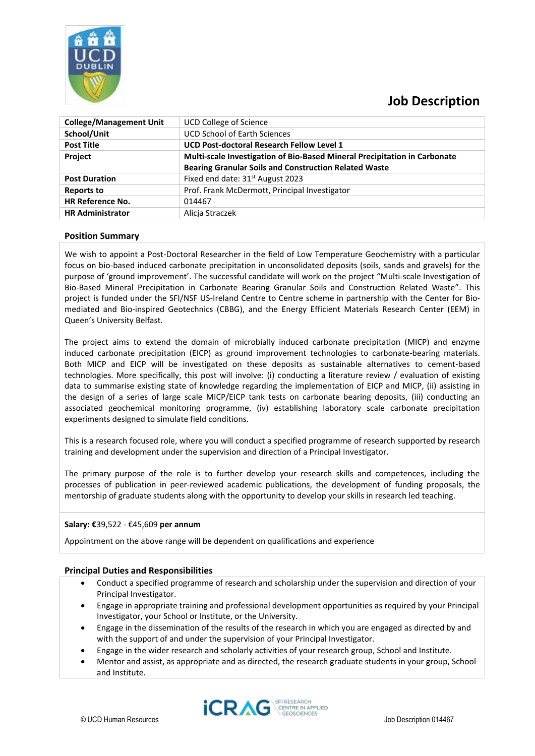

# **Job Description**

| <b>College/Management Unit</b> | UCD College of Science                                                    |
|--------------------------------|---------------------------------------------------------------------------|
| School/Unit                    | <b>UCD School of Earth Sciences</b>                                       |
| <b>Post Title</b>              | UCD Post-doctoral Research Fellow Level 1                                 |
| Project                        | Multi-scale Investigation of Bio-Based Mineral Precipitation in Carbonate |
|                                | <b>Bearing Granular Soils and Construction Related Waste</b>              |
| <b>Post Duration</b>           | Fixed end date: 31 <sup>st</sup> August 2023                              |
| <b>Reports to</b>              | Prof. Frank McDermott, Principal Investigator                             |
| <b>HR Reference No.</b>        | 014467                                                                    |
| <b>HR Administrator</b>        | Alicia Straczek                                                           |

## **Position Summary**

We wish to appoint a Post-Doctoral Researcher in the field of Low Temperature Geochemistry with a particular focus on bio-based induced carbonate precipitation in unconsolidated deposits (soils, sands and gravels) for the purpose of 'ground improvement'. The successful candidate will work on the project "Multi-scale Investigation of Bio-Based Mineral Precipitation in Carbonate Bearing Granular Soils and Construction Related Waste". This project is funded under the SFI/NSF US-Ireland Centre to Centre scheme in partnership with the Center for Biomediated and Bio-inspired Geotechnics (CBBG), and the Energy Efficient Materials Research Center (EEM) in Queen's University Belfast.

The project aims to extend the domain of microbially induced carbonate precipitation (MICP) and enzyme induced carbonate precipitation (EICP) as ground improvement technologies to carbonate-bearing materials. Both MICP and EICP will be investigated on these deposits as sustainable alternatives to cement-based technologies. More specifically, this post will involve: (i) conducting a literature review / evaluation of existing data to summarise existing state of knowledge regarding the implementation of EICP and MICP, (ii) assisting in the design of a series of large scale MICP/EICP tank tests on carbonate bearing deposits, (iii) conducting an associated geochemical monitoring programme, (iv) establishing laboratory scale carbonate precipitation experiments designed to simulate field conditions.

This is a research focused role, where you will conduct a specified programme of research supported by research training and development under the supervision and direction of a Principal Investigator.

The primary purpose of the role is to further develop your research skills and competences, including the processes of publication in peer-reviewed academic publications, the development of funding proposals, the mentorship of graduate students along with the opportunity to develop your skills in research led teaching.

#### **Salary: €**39,522 - €45,609 **per annum**

Appointment on the above range will be dependent on qualifications and experience

## **Principal Duties and Responsibilities**

- Conduct a specified programme of research and scholarship under the supervision and direction of your Principal Investigator.
- Engage in appropriate training and professional development opportunities as required by your Principal Investigator, your School or Institute, or the University.
- Engage in the dissemination of the results of the research in which you are engaged as directed by and with the support of and under the supervision of your Principal Investigator.
- Engage in the wider research and scholarly activities of your research group, School and Institute.
- Mentor and assist, as appropriate and as directed, the research graduate students in your group, School and Institute.

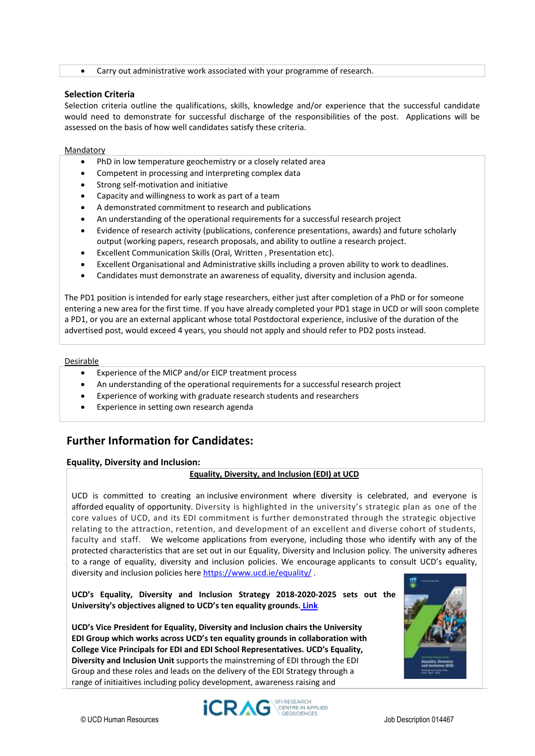• Carry out administrative work associated with your programme of research.

#### **Selection Criteria**

Selection criteria outline the qualifications, skills, knowledge and/or experience that the successful candidate would need to demonstrate for successful discharge of the responsibilities of the post. Applications will be assessed on the basis of how well candidates satisfy these criteria.

#### Mandatory

- PhD in low temperature geochemistry or a closely related area
- Competent in processing and interpreting complex data
- Strong self-motivation and initiative
- Capacity and willingness to work as part of a team
- A demonstrated commitment to research and publications
- An understanding of the operational requirements for a successful research project
- Evidence of research activity (publications, conference presentations, awards) and future scholarly output (working papers, research proposals, and ability to outline a research project.
- Excellent Communication Skills (Oral, Written , Presentation etc).
- Excellent Organisational and Administrative skills including a proven ability to work to deadlines.
- Candidates must demonstrate an awareness of equality, diversity and inclusion agenda.

The PD1 position is intended for early stage researchers, either just after completion of a PhD or for someone entering a new area for the first time. If you have already completed your PD1 stage in UCD or will soon complete a PD1, or you are an external applicant whose total Postdoctoral experience, inclusive of the duration of the advertised post, would exceed 4 years, you should not apply and should refer to PD2 posts instead.

#### Desirable

- Experience of the MICP and/or EICP treatment process
- An understanding of the operational requirements for a successful research project
- Experience of working with graduate research students and researchers
- Experience in setting own research agenda

## **Further Information for Candidates:**

## **Equality, Diversity and Inclusion:**

## **Equality, Diversity, and Inclusion (EDI) at UCD**

UCD is committed to creating an inclusive environment where diversity is celebrated, and everyone is afforded equality of opportunity. Diversity is highlighted in the university's strategic plan as one of the core values of UCD, and its EDI commitment is further demonstrated through the strategic objective relating to the attraction, retention, and development of an excellent and diverse cohort of students, faculty and staff. We welcome applications from everyone, including those who identify with any of the protected characteristics that are set out in our Equality, Diversity and Inclusion policy. The university adheres to a range of equality, diversity and inclusion policies. We encourage applicants to consult UCD's equality, diversity and inclusion policies her[e https://www.ucd.ie/equality/](https://www.ucd.ie/equality/) .

**UCD's Equality, Diversity and Inclusion Strategy 2018-2020-2025 sets out the University's objectives aligned to UCD's ten equality grounds. [Link](https://www.ucd.ie/equality/information/publications/)**

**UCD's Vice President for Equality, Diversity and Inclusion chairs the University EDI Group which works across UCD's ten equality grounds in collaboration with College Vice Principals for EDI and EDI School Representatives. UCD's Equality, Diversity and Inclusion Unit** supports the mainstreming of EDI through the EDI Group and these roles and leads on the delivery of the EDI Strategy through a range of initiaitives including policy development, awareness raising and



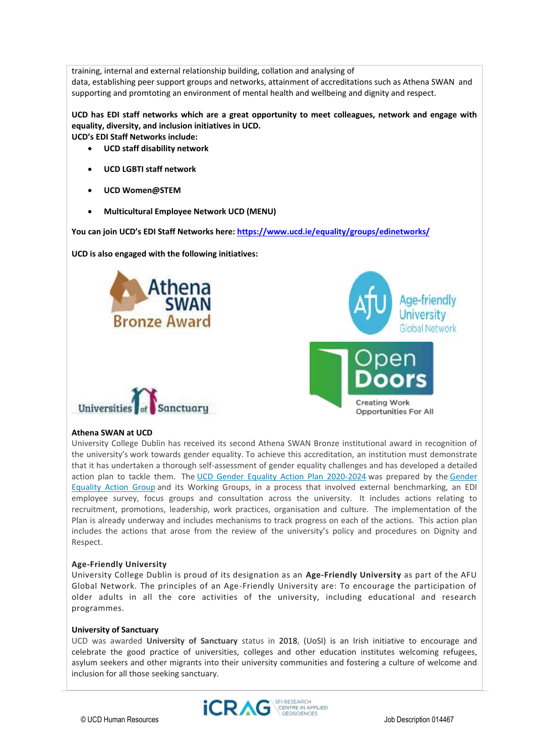training, internal and external relationship building, collation and analysing of data, establishing peer support groups and networks, attainment of accreditations such as Athena SWAN and supporting and promtoting an environment of mental health and wellbeing and dignity and respect.

**UCD has EDI staff networks which are a great opportunity to meet colleagues, network and engage with equality, diversity, and inclusion initiatives in UCD.** 

**UCD's EDI Staff Networks include:** 

- **UCD staff disability network**
- **UCD LGBTI staff network**
- **UCD Women@STEM**
- **Multicultural Employee Network UCD (MENU)**

**You can join UCD's EDI Staff Networks here: <https://www.ucd.ie/equality/groups/edinetworks/>**

**UCD is also engaged with the following initiatives:** 







#### **Athena SWAN at UCD**

University College Dublin has received its second Athena SWAN Bronze institutional award in recognition of the university's work towards gender equality. To achieve this accreditation, an institution must demonstrate that it has undertaken a thorough self-assessment of gender equality challenges and has developed a detailed action plan to tackle them. The [UCD Gender Equality Action Plan 2020-2024](https://www.ucd.ie/equality/t4media/GenderEqualityActionPlan%20UCD%20Final%20Sept20.pdf) was prepared by the [Gender](https://www.ucd.ie/equality/groups/genderequalityactiongroup/)  [Equality Action Group](https://www.ucd.ie/equality/groups/genderequalityactiongroup/) and its Working Groups, in a process that involved external benchmarking, an EDI employee survey, focus groups and consultation across the university. It includes actions relating to recruitment, promotions, leadership, work practices, organisation and culture. The implementation of the Plan is already underway and includes mechanisms to track progress on each of the actions. This action plan includes the actions that arose from the review of the university's policy and procedures on Dignity and Respect.

#### **Age-Friendly University**

University College Dublin is proud of its designation as an **Age-Friendly University** as part of the AFU Global Network. The principles of an Age-Friendly University are: To encourage the participation of older adults in all the core activities of the university, including educational and research programmes.

#### **University of Sanctuary**

UCD was awarded **University of Sanctuary** status in 2018, (UoSI) is an Irish initiative to encourage and celebrate the good practice of universities, colleges and other education institutes welcoming refugees, asylum seekers and other migrants into their university communities and fostering a culture of welcome and inclusion for all those seeking sanctuary.

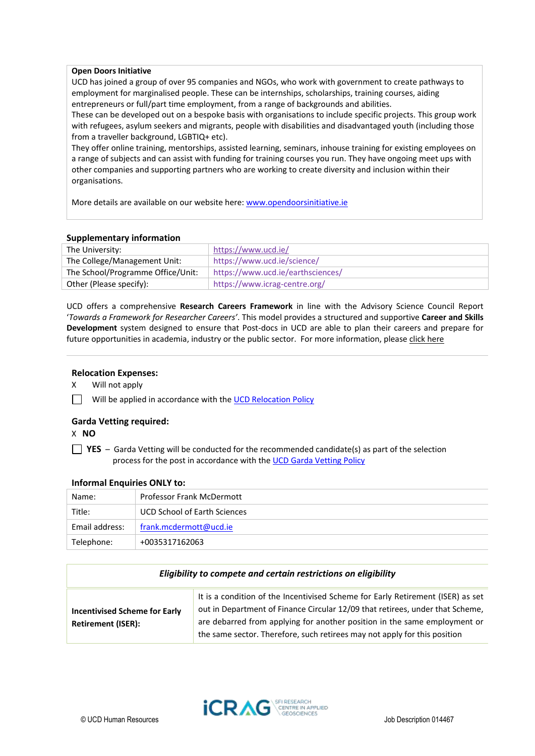## **Open Doors Initiative**

UCD has joined a group of over 95 companies and NGOs, who work with government to create pathways to employment for marginalised people. These can be internships, scholarships, training courses, aiding entrepreneurs or full/part time employment, from a range of backgrounds and abilities.

These can be developed out on a bespoke basis with organisations to include specific projects. This group work with refugees, asylum seekers and migrants, people with disabilities and disadvantaged youth (including those from a traveller background, LGBTIQ+ etc).

They offer online training, mentorships, assisted learning, seminars, inhouse training for existing employees on a range of subjects and can assist with funding for training courses you run. They have ongoing meet ups with other companies and supporting partners who are working to create diversity and inclusion within their organisations.

More details are available on our website here: [www.opendoorsinitiative.ie](file:///C:/Users/markenny/AppData/Local/Microsoft/Windows/INetCache/Content.Outlook/6FOXTEGL/www.opendoorsinitiative.ie)

## **Supplementary information**

| The University:                   | https://www.ucd.ie/               |
|-----------------------------------|-----------------------------------|
| The College/Management Unit:      | https://www.ucd.ie/science/       |
| The School/Programme Office/Unit: | https://www.ucd.ie/earthsciences/ |
| Other (Please specify):           | https://www.icrag-centre.org/     |

UCD offers a comprehensive **Research Careers Framework** in line with the Advisory Science Council Report '*Towards a Framework for Researcher Careers'*. This model provides a structured and supportive **Career and Skills Development** system designed to ensure that Post-docs in UCD are able to plan their careers and prepare for future opportunities in academia, industry or the public sector. For more information, pleas[e click here](http://www.ucd.ie/researchcareers)

## **Relocation Expenses:**

X Will not apply

Will be applied in accordance with the [UCD Relocation Policy](https://sisweb.ucd.ie/usis/W_HU_REPORTING.P_DISPLAY_QUERY?p_query=GD120-1&p_parameters=4815FCE41733095E61BC26DB2595C0C00185006F3EB3EDBB97F96086D75BC103EEB440ABB021693D4A984773FC8C463E0D21D6FB0948F46F80EFDB24468DBC79B3EA8F0E9F5FB141D9CEEBE0F34351F11863163169174754C4BCFD8BA548B5FBA0A23C88283E01C90DBA2334B4CE21BA48AF5692DCB2E0DAF380E8CFB9285EC12B31A7F6EBD59E4BB45ECE63F67D58E4)

## **Garda Vetting required:**

X **NO**

**T** YES – Garda Vetting will be conducted for the recommended candidate(s) as part of the selection process for the post in accordance with th[e UCD Garda Vetting Policy](https://sisweb.ucd.ie/usis/W_HU_REPORTING.P_DISPLAY_QUERY?p_query=GD120-1&p_parameters=C6C2790305B562CC9528AF2459071C0E50585F14A4822BF9F72EAE3CCF7FBDABD2D58B134D189D45035200C11D9063207257A9C1E2C525DFD51BD4B4AE01041E77070794F8CF2BF289B7618CD3344CDE1DE888B3B4C339E33EC342D145309F3ED0820DA15DDC0E06DD7FFD64F264DA09484647EAE4D0219FB4273EE23488820AA5BD4B82D20A09CBA78E719FEAF8A785B79871AF0FF1DE640E08167E7C4BEC61337FB8F6E46C36648256BFA69939E168FB5B280309C0607BD7FDCD9818185CE9215D57995D47C44C2B4D0260483D4FDC752749031DFC23DE5978DC137246048B)

#### **Informal Enquiries ONLY to:**

| Name:          | <b>Professor Frank McDermott</b>    |
|----------------|-------------------------------------|
| Title:         | <b>UCD School of Earth Sciences</b> |
| Email address: | frank.mcdermott@ucd.ie              |
| Telephone:     | +0035317162063                      |

| Eligibility to compete and certain restrictions on eligibility    |                                                                                                                                                                                                                                                                                                                            |  |
|-------------------------------------------------------------------|----------------------------------------------------------------------------------------------------------------------------------------------------------------------------------------------------------------------------------------------------------------------------------------------------------------------------|--|
| <b>Incentivised Scheme for Early</b><br><b>Retirement (ISER):</b> | It is a condition of the Incentivised Scheme for Early Retirement (ISER) as set<br>out in Department of Finance Circular 12/09 that retirees, under that Scheme,<br>are debarred from applying for another position in the same employment or<br>the same sector. Therefore, such retirees may not apply for this position |  |

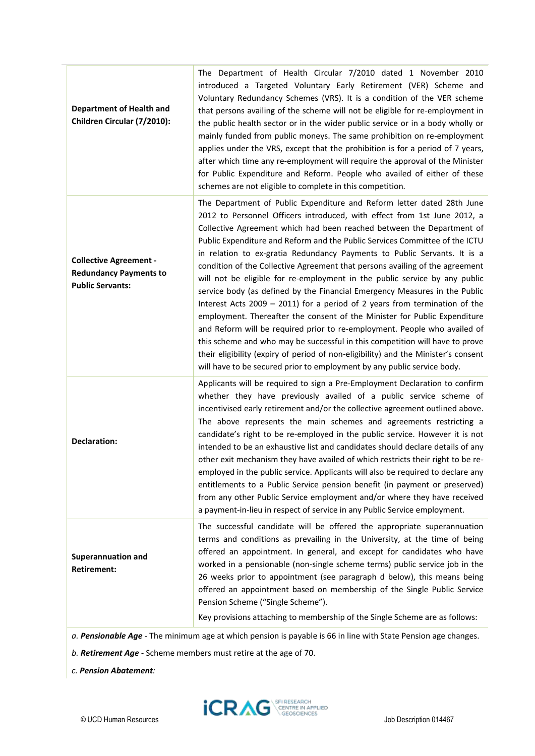| introduced a Targeted Voluntary Early Retirement (VER) Scheme and<br>Voluntary Redundancy Schemes (VRS). It is a condition of the VER scheme<br>that persons availing of the scheme will not be eligible for re-employment in<br>the public health sector or in the wider public service or in a body wholly or<br>mainly funded from public moneys. The same prohibition on re-employment<br>applies under the VRS, except that the prohibition is for a period of 7 years,<br>after which time any re-employment will require the approval of the Minister<br>for Public Expenditure and Reform. People who availed of either of these<br>schemes are not eligible to complete in this competition.                                                                                                                                                                                                                                                                                                                                                                                                                         |
|-------------------------------------------------------------------------------------------------------------------------------------------------------------------------------------------------------------------------------------------------------------------------------------------------------------------------------------------------------------------------------------------------------------------------------------------------------------------------------------------------------------------------------------------------------------------------------------------------------------------------------------------------------------------------------------------------------------------------------------------------------------------------------------------------------------------------------------------------------------------------------------------------------------------------------------------------------------------------------------------------------------------------------------------------------------------------------------------------------------------------------|
| The Department of Public Expenditure and Reform letter dated 28th June<br>2012 to Personnel Officers introduced, with effect from 1st June 2012, a<br>Collective Agreement which had been reached between the Department of<br>Public Expenditure and Reform and the Public Services Committee of the ICTU<br>in relation to ex-gratia Redundancy Payments to Public Servants. It is a<br>condition of the Collective Agreement that persons availing of the agreement<br>will not be eligible for re-employment in the public service by any public<br>service body (as defined by the Financial Emergency Measures in the Public<br>Interest Acts 2009 $-$ 2011) for a period of 2 years from termination of the<br>employment. Thereafter the consent of the Minister for Public Expenditure<br>and Reform will be required prior to re-employment. People who availed of<br>this scheme and who may be successful in this competition will have to prove<br>their eligibility (expiry of period of non-eligibility) and the Minister's consent<br>will have to be secured prior to employment by any public service body. |
| Applicants will be required to sign a Pre-Employment Declaration to confirm<br>whether they have previously availed of a public service scheme of<br>incentivised early retirement and/or the collective agreement outlined above.<br>The above represents the main schemes and agreements restricting a<br>candidate's right to be re-employed in the public service. However it is not<br>intended to be an exhaustive list and candidates should declare details of any<br>other exit mechanism they have availed of which restricts their right to be re-<br>employed in the public service. Applicants will also be required to declare any<br>entitlements to a Public Service pension benefit (in payment or preserved)<br>from any other Public Service employment and/or where they have received<br>a payment-in-lieu in respect of service in any Public Service employment.                                                                                                                                                                                                                                       |
| The successful candidate will be offered the appropriate superannuation<br>terms and conditions as prevailing in the University, at the time of being<br>offered an appointment. In general, and except for candidates who have<br>worked in a pensionable (non-single scheme terms) public service job in the<br>26 weeks prior to appointment (see paragraph d below), this means being<br>offered an appointment based on membership of the Single Public Service<br>Pension Scheme ("Single Scheme").<br>Key provisions attaching to membership of the Single Scheme are as follows:                                                                                                                                                                                                                                                                                                                                                                                                                                                                                                                                      |
|                                                                                                                                                                                                                                                                                                                                                                                                                                                                                                                                                                                                                                                                                                                                                                                                                                                                                                                                                                                                                                                                                                                               |

*a. Pensionable Age -* The minimum age at which pension is payable is 66 in line with State Pension age changes.

*b. Retirement Age -* Scheme members must retire at the age of 70.

*c. Pension Abatement:*